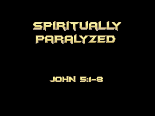## SPIRITUALLY PARALYZED

### JOHN 51-8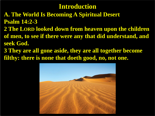- **A. The World Is Becoming A Spiritual Desert Psalm 14:2-3**
- **2 The LORD looked down from heaven upon the children of men, to see if there were any that did understand, and seek God.**
- **3 They are all gone aside, they are all together become filthy: there is none that doeth good, no, not one.**

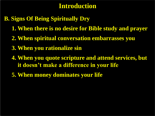#### **B. Signs Of Being Spiritually Dry**

- **1. When there is no desire for Bible study and prayer**
- **2. When spiritual conversation embarrasses you**
- **3. When you rationalize sin**
- **4. When you quote scripture and attend services, but it doesn't make a difference in your life**
- **5. When money dominates your life**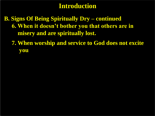**B. Signs Of Being Spiritually Dry – continued 6. When it doesn't bother you that others are in misery and are spiritually lost.** 

 **7. When worship and service to God does not excite you**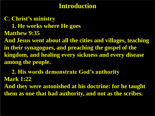**C. Christ's ministry 1. He works where He goes Matthew 9:35 And Jesus went about all the cities and villages, teaching in their synagogues, and preaching the gospel of the kingdom, and healing every sickness and every disease among the people.**

 **2. His words demonstrate God's authority Mark 1:22**

**And they were astonished at his doctrine: for he taught them as one that had authority, and not as the scribes.**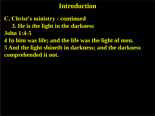**C. Christ's ministry - continued 3. He is the light in the darkness John 1:4-5 4 In him was life; and the life was the light of men. 5 And the light shineth in darkness; and the darkness comprehended it not.**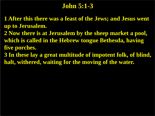### **John 5:1-3**

**1 After this there was a feast of the Jews; and Jesus went up to Jerusalem.**

**2 Now there is at Jerusalem by the sheep market a pool, which is called in the Hebrew tongue Bethesda, having five porches.**

**3 In these lay a great multitude of impotent folk, of blind, halt, withered, waiting for the moving of the water.**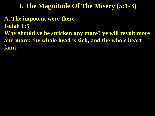**A. The impotent were there Isaiah 1:5 Why should ye be stricken any more? ye will revolt more and more: the whole head is sick, and the whole heart faint.**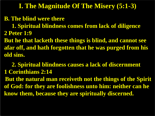**B. The blind were there**

 **1. Spiritual blindness comes from lack of diligence 2 Peter 1:9**

**But he that lacketh these things is blind, and cannot see afar off, and hath forgotten that he was purged from his old sins.**

 **2. Spiritual blindness causes a lack of discernment 1 Corinthians 2:14 But the natural man receiveth not the things of the Spirit of God: for they are foolishness unto him: neither can he know them, because they are spiritually discerned.**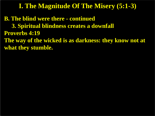**B. The blind were there - continued 3. Spiritual blindness creates a downfall Proverbs 4:19 The way of the wicked is as darkness: they know not at what they stumble.**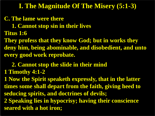**C. The lame were there**

 **1. Cannot stop sin in their lives**

**Titus 1:6**

**They profess that they know God; but in works they deny him, being abominable, and disobedient, and unto every good work reprobate.**

 **2. Cannot stop the slide in their mind**

**1 Timothy 4:1-2**

**1 Now the Spirit speaketh expressly, that in the latter times some shall depart from the faith, giving heed to seducing spirits, and doctrines of devils;**

**2 Speaking lies in hypocrisy; having their conscience seared with a hot iron;**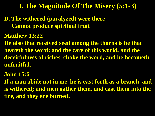**D. The withered (paralyzed) were there Cannot produce spiritual fruit**

**Matthew 13:22**

**He also that received seed among the thorns is he that heareth the word; and the care of this world, and the deceitfulness of riches, choke the word, and he becometh unfruitful.**

**John 15:6**

**If a man abide not in me, he is cast forth as a branch, and is withered; and men gather them, and cast them into the fire, and they are burned.**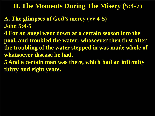#### **II. The Moments During The Misery (5:4-7)**

- **A. The glimpses of God's mercy (vv 4-5) John 5:4-5**
- **4 For an angel went down at a certain season into the pool, and troubled the water: whosoever then first after the troubling of the water stepped in was made whole of whatsoever disease he had.**
- **5 And a certain man was there, which had an infirmity thirty and eight years.**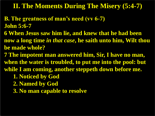#### **II. The Moments During The Misery (5:4-7)**

- **B. The greatness of man's need (vv 6-7) John 5:6-7**
- **6 When Jesus saw him lie, and knew that he had been now a long time** *in that case***, he saith unto him, Wilt thou be made whole?**
- **7 The impotent man answered him, Sir, I have no man, when the water is troubled, to put me into the pool: but**
- **while I am coming, another steppeth down before me.**
	- **1. Noticed by God**
	- **2. Named by God**
	- **3. No man capable to resolve**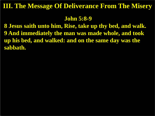#### **John 5:8-9**

**8 Jesus saith unto him, Rise, take up thy bed, and walk. 9 And immediately the man was made whole, and took up his bed, and walked: and on the same day was the sabbath.**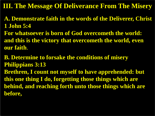- **A. Demonstrate faith in the words of the Deliverer, Christ 1 John 5:4**
- **For whatsoever is born of God overcometh the world: and this is the victory that overcometh the world, even our faith**.
- **B. Determine to forsake the conditions of misery Philippians 3:13**
- **Brethren, I count not myself to have apprehended: but this one thing I do, forgetting those things which are behind, and reaching forth unto those things which are before,**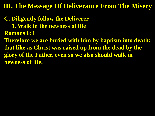**C. Diligently follow the Deliverer 1. Walk in the newness of life Romans 6:4 Therefore we are buried with him by baptism into death: that like as Christ was raised up from the dead by the glory of the Father, even so we also should walk in newness of life.**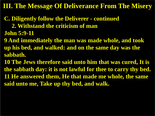- **C. Diligently follow the Deliverer - continued**
	- **2. Withstand the criticism of man**
- **John 5:9-11**
- **9 And immediately the man was made whole, and took up his bed, and walked: and on the same day was the sabbath.**
- **10 The Jews therefore said unto him that was cured, It is the sabbath day: it is not lawful for thee to carry thy bed. 11 He answered them, He that made me whole, the same said unto me, Take up thy bed, and walk.**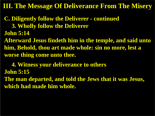**C. Diligently follow the Deliverer - continued 3. Wholly follow the Deliverer**

**John 5:14**

**Afterward Jesus findeth him in the temple, and said unto him, Behold, thou art made whole: sin no more, lest a worse thing come unto thee.**

 **4. Witness your deliverance to others John 5:15 The man departed, and told the Jews that it was Jesus, which had made him whole.**